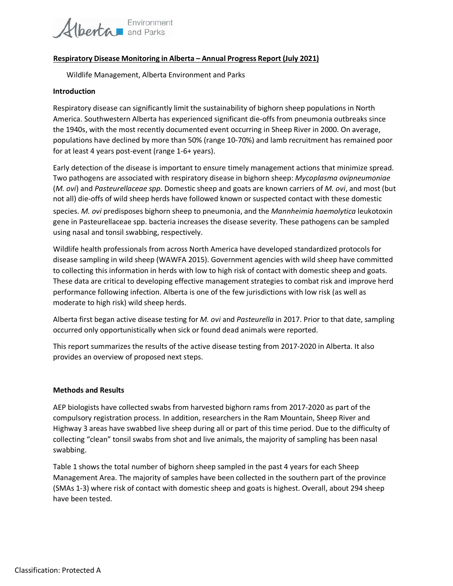

### **Respiratory Disease Monitoring in Alberta – Annual Progress Report (July 2021)**

Wildlife Management, Alberta Environment and Parks

### **Introduction**

Respiratory disease can significantly limit the sustainability of bighorn sheep populations in North America. Southwestern Alberta has experienced significant die-offs from pneumonia outbreaks since the 1940s, with the most recently documented event occurring in Sheep River in 2000. On average, populations have declined by more than 50% (range 10-70%) and lamb recruitment has remained poor for at least 4 years post-event (range 1-6+ years).

Early detection of the disease is important to ensure timely management actions that minimize spread. Two pathogens are associated with respiratory disease in bighorn sheep: *Mycoplasma ovipneumoniae*  (*M. ovi*) and *Pasteurellaceae spp.* Domestic sheep and goats are known carriers of *M. ovi*, and most (but not all) die-offs of wild sheep herds have followed known or suspected contact with these domestic

species. *M. ovi* predisposes bighorn sheep to pneumonia, and the *Mannheimia haemolytica* leukotoxin gene in Pasteurellaceae spp. bacteria increases the disease severity. These pathogens can be sampled using nasal and tonsil swabbing, respectively.

Wildlife health professionals from across North America have developed standardized protocols for disease sampling in wild sheep (WAWFA 2015). Government agencies with wild sheep have committed to collecting this information in herds with low to high risk of contact with domestic sheep and goats. These data are critical to developing effective management strategies to combat risk and improve herd performance following infection. Alberta is one of the few jurisdictions with low risk (as well as moderate to high risk) wild sheep herds.

Alberta first began active disease testing for *M. ovi* and *Pasteurella* in 2017. Prior to that date, sampling occurred only opportunistically when sick or found dead animals were reported.

This report summarizes the results of the active disease testing from 2017-2020 in Alberta. It also provides an overview of proposed next steps.

### **Methods and Results**

AEP biologists have collected swabs from harvested bighorn rams from 2017-2020 as part of the compulsory registration process. In addition, researchers in the Ram Mountain, Sheep River and Highway 3 areas have swabbed live sheep during all or part of this time period. Due to the difficulty of collecting "clean" tonsil swabs from shot and live animals, the majority of sampling has been nasal swabbing.

Table 1 shows the total number of bighorn sheep sampled in the past 4 years for each Sheep Management Area. The majority of samples have been collected in the southern part of the province (SMAs 1-3) where risk of contact with domestic sheep and goats is highest. Overall, about 294 sheep have been tested.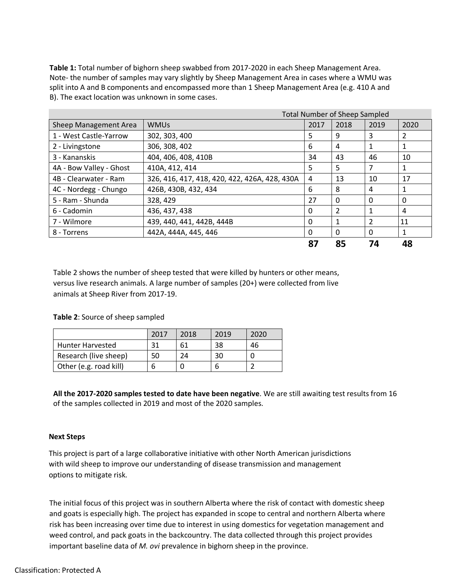**Table 1:** Total number of bighorn sheep swabbed from 2017-2020 in each Sheep Management Area. Note- the number of samples may vary slightly by Sheep Management Area in cases where a WMU was split into A and B components and encompassed more than 1 Sheep Management Area (e.g. 410 A and B). The exact location was unknown in some cases.

|                         |                                               | <b>Total Number of Sheep Sampled</b> |                |          |                |
|-------------------------|-----------------------------------------------|--------------------------------------|----------------|----------|----------------|
| Sheep Management Area   | <b>WMUs</b>                                   | 2017                                 | 2018           | 2019     | 2020           |
| 1 - West Castle-Yarrow  | 302, 303, 400                                 | 5                                    | 9              | 3        | $\overline{2}$ |
| 2 - Livingstone         | 306, 308, 402                                 | 6                                    | 4              | 1        | 1              |
| 3 - Kananskis           | 404, 406, 408, 410B                           | 34                                   | 43             | 46       | 10             |
| 4A - Bow Valley - Ghost | 410A, 412, 414                                | 5                                    | 5              | 7        | 1              |
| 4B - Clearwater - Ram   | 326, 416, 417, 418, 420, 422, 426A, 428, 430A | 4                                    | 13             | 10       | 17             |
| 4C - Nordegg - Chungo   | 426B, 430B, 432, 434                          | 6                                    | 8              | 4        | 1              |
| 5 - Ram - Shunda        | 328, 429                                      | 27                                   | $\Omega$       | 0        | 0              |
| 6 - Cadomin             | 436, 437, 438                                 | 0                                    | $\overline{2}$ |          | 4              |
| 7 - Wilmore             | 439, 440, 441, 442B, 444B                     | 0                                    | 1              | 2        | 11             |
| 8 - Torrens             | 442A, 444A, 445, 446                          | 0                                    | $\Omega$       | $\Omega$ | 1              |
|                         |                                               | 87                                   | 85             | 74       | 48             |

Table 2 shows the number of sheep tested that were killed by hunters or other means, versus live research animals. A large number of samples (20+) were collected from live animals at Sheep River from 2017-19.

# **Table 2**: Source of sheep sampled

|                         | 2017 | 2018 | 2019 | 2020 |
|-------------------------|------|------|------|------|
| <b>Hunter Harvested</b> |      | 61   | 38   | 46   |
| Research (live sheep)   | 50   | 74   | 30   |      |
| Other (e.g. road kill)  |      |      |      |      |

**All the 2017-2020 samples tested to date have been negative**. We are still awaiting test results from 16 of the samples collected in 2019 and most of the 2020 samples.

# **Next Steps**

This project is part of a large collaborative initiative with other North American jurisdictions with wild sheep to improve our understanding of disease transmission and management options to mitigate risk.

The initial focus of this project was in southern Alberta where the risk of contact with domestic sheep and goats is especially high. The project has expanded in scope to central and northern Alberta where risk has been increasing over time due to interest in using domestics for vegetation management and weed control, and pack goats in the backcountry. The data collected through this project provides important baseline data of *M. ovi* prevalence in bighorn sheep in the province.